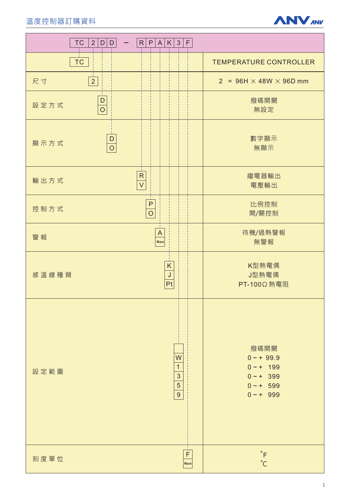

| <b>TC</b><br>2 <br>$\mathsf D$<br>$\mathsf D$ | $R$ $P$ $A$ $K$ 3<br>$\mathsf F$                           |                                                                                  |
|-----------------------------------------------|------------------------------------------------------------|----------------------------------------------------------------------------------|
| <b>TC</b>                                     |                                                            | <b>TEMPERATURE CONTROLLER</b>                                                    |
| $\overline{2}$<br>尺寸                          |                                                            | $2 = 96H \times 48W \times 96D$ mm                                               |
| $\mathsf{D}%$<br>設定方式<br>$\overline{O}$       |                                                            | 撥碼開關<br>無設定                                                                      |
| D<br>顯示方式<br>$\overline{O}$                   |                                                            | 數字顯示<br>無顯示                                                                      |
| 輸出方式                                          | ${\sf R}$<br>$\overline{V}$                                | 繼電器輸出<br>電壓輸出                                                                    |
| 控制方式                                          | $\mathsf{P}$<br>$\overline{O}$                             | 比例控制<br>開/關控制                                                                    |
| 警報                                            | $\boldsymbol{\mathsf{A}}$<br>Non                           | 待機/過熱警報<br>無警報                                                                   |
| 感溫線種類                                         | K<br>J<br>Pt                                               | K型熱電偶<br>J型熱電偶<br>PT-100Ω 熱電阻                                                    |
| 設定範圍                                          | W<br>$\mathbf{1}$<br>3<br>$\overline{5}$<br>$\overline{9}$ | 撥碼開關<br>$0 - + 99.9$<br>$0 - + 199$<br>$0 - + 399$<br>$0 - + 599$<br>$0 - + 999$ |
| 刻度單位                                          | $\mathsf F$<br>Non                                         | $^\circ\mathsf{F}$<br>$^{\circ}$ C                                               |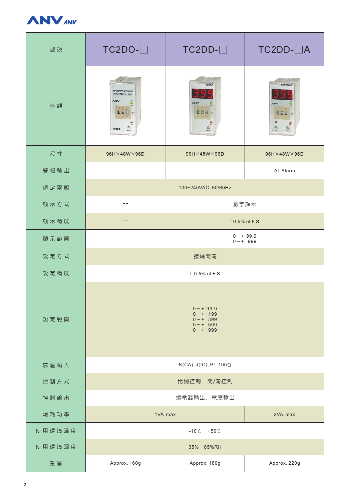

| 型號     | $TC2DO-$                                                                                  | $TC2DD - \Box$               | TC2DD-□A                            |  |
|--------|-------------------------------------------------------------------------------------------|------------------------------|-------------------------------------|--|
| 外觀     | TEMPERATURE<br>CONTROLLER<br><b>ANV</b><br>$\sum_{n=1}^{\infty}$<br><b>BUD c</b><br>TC2DO | TC2DD<br><b>ANV</b><br>299 0 | TC2DD-A<br><b>ANV</b><br>200 c<br>5 |  |
| 尺寸     | 96H×48W×96D                                                                               | 96H×48W×96D                  | 96H×48W×96D                         |  |
| 警報輸出   |                                                                                           |                              | AL Alarm                            |  |
| 額定電壓   | 100~240VAC, 50/60Hz                                                                       |                              |                                     |  |
| 顯示方式   | --                                                                                        | 數字顯示                         |                                     |  |
| 顯示精度   |                                                                                           | $\pm$ 0.5% of F.S.           |                                     |  |
| 顯示範圍   | $ -$                                                                                      | $0 - + 99.9$<br>$0 - + 999$  |                                     |  |
| 設定方式   | 撥碼開關                                                                                      |                              |                                     |  |
| 設定精度   | $\pm$ 0.5% of F.S.                                                                        |                              |                                     |  |
| 設定範圍   | $0 - + 99.9$<br>$0 - + 199$<br>$0 - + 399$<br>$0 - + 599$<br>$0 - + 999$                  |                              |                                     |  |
| 感溫輸入   | $K(CA)$ , J(IC), PT-100 $\Omega$                                                          |                              |                                     |  |
| 控制方式   | 比例控制, 開/關控制                                                                               |                              |                                     |  |
| 控制輸出   | 繼電器輸出, 電壓輸出                                                                               |                              |                                     |  |
| 消耗功率   | 1VA max<br>2VA max                                                                        |                              |                                     |  |
| 使用環境溫度 | $-10^{\circ}$ C ~ + 50 $^{\circ}$ C                                                       |                              |                                     |  |
| 使用環境濕度 | $35\% \sim 85\%$ RH                                                                       |                              |                                     |  |
| 重量     | Approx. 160g                                                                              | Approx. 180g                 | Approx. 220g                        |  |